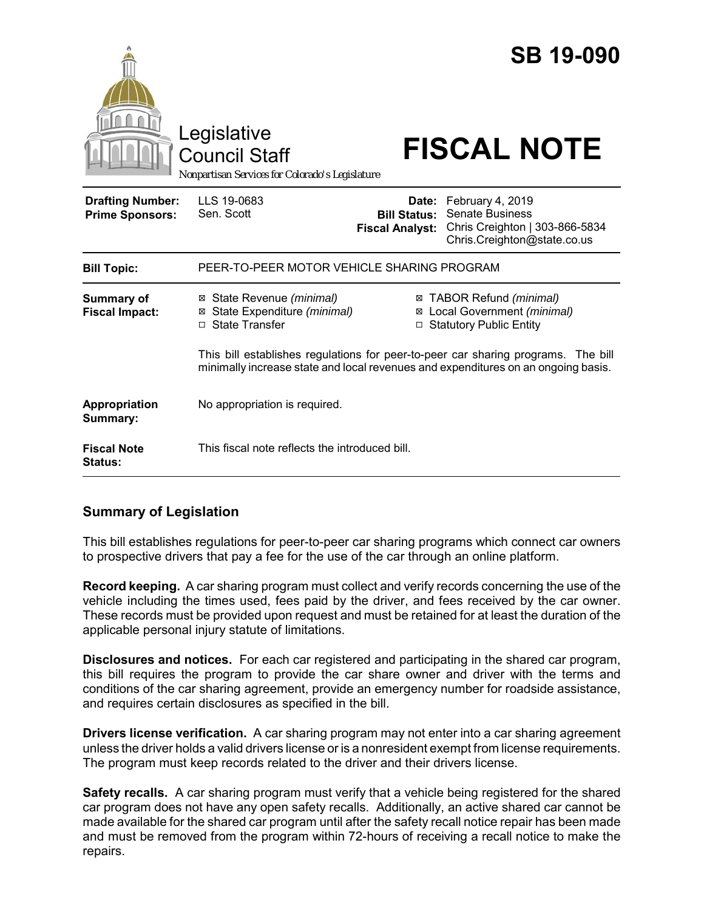|                                                   | Legislative<br><b>Council Staff</b><br>Nonpartisan Services for Colorado's Legislature                                                                                 |                                                        | <b>SB 19-090</b><br><b>FISCAL NOTE</b>                                                                      |  |
|---------------------------------------------------|------------------------------------------------------------------------------------------------------------------------------------------------------------------------|--------------------------------------------------------|-------------------------------------------------------------------------------------------------------------|--|
| <b>Drafting Number:</b><br><b>Prime Sponsors:</b> | LLS 19-0683<br>Sen. Scott                                                                                                                                              | Date:<br><b>Bill Status:</b><br><b>Fiscal Analyst:</b> | February 4, 2019<br><b>Senate Business</b><br>Chris Creighton   303-866-5834<br>Chris.Creighton@state.co.us |  |
| <b>Bill Topic:</b>                                | PEER-TO-PEER MOTOR VEHICLE SHARING PROGRAM                                                                                                                             |                                                        |                                                                                                             |  |
| <b>Summary of</b><br><b>Fiscal Impact:</b>        | State Revenue (minimal)<br>⊠<br>⊠ State Expenditure (minimal)<br>□ State Transfer                                                                                      |                                                        | ⊠ TABOR Refund (minimal)<br>⊠ Local Government (minimal)<br>□ Statutory Public Entity                       |  |
|                                                   | This bill establishes regulations for peer-to-peer car sharing programs. The bill<br>minimally increase state and local revenues and expenditures on an ongoing basis. |                                                        |                                                                                                             |  |
| Appropriation<br>Summary:                         | No appropriation is required.                                                                                                                                          |                                                        |                                                                                                             |  |
| <b>Fiscal Note</b><br><b>Status:</b>              | This fiscal note reflects the introduced bill.                                                                                                                         |                                                        |                                                                                                             |  |

# **Summary of Legislation**

This bill establishes regulations for peer-to-peer car sharing programs which connect car owners to prospective drivers that pay a fee for the use of the car through an online platform.

**Record keeping.** A car sharing program must collect and verify records concerning the use of the vehicle including the times used, fees paid by the driver, and fees received by the car owner. These records must be provided upon request and must be retained for at least the duration of the applicable personal injury statute of limitations.

**Disclosures and notices.** For each car registered and participating in the shared car program, this bill requires the program to provide the car share owner and driver with the terms and conditions of the car sharing agreement, provide an emergency number for roadside assistance, and requires certain disclosures as specified in the bill.

**Drivers license verification.** A car sharing program may not enter into a car sharing agreement unless the driver holds a valid drivers license or is a nonresident exempt from license requirements. The program must keep records related to the driver and their drivers license.

**Safety recalls.** A car sharing program must verify that a vehicle being registered for the shared car program does not have any open safety recalls. Additionally, an active shared car cannot be made available for the shared car program until after the safety recall notice repair has been made and must be removed from the program within 72-hours of receiving a recall notice to make the repairs.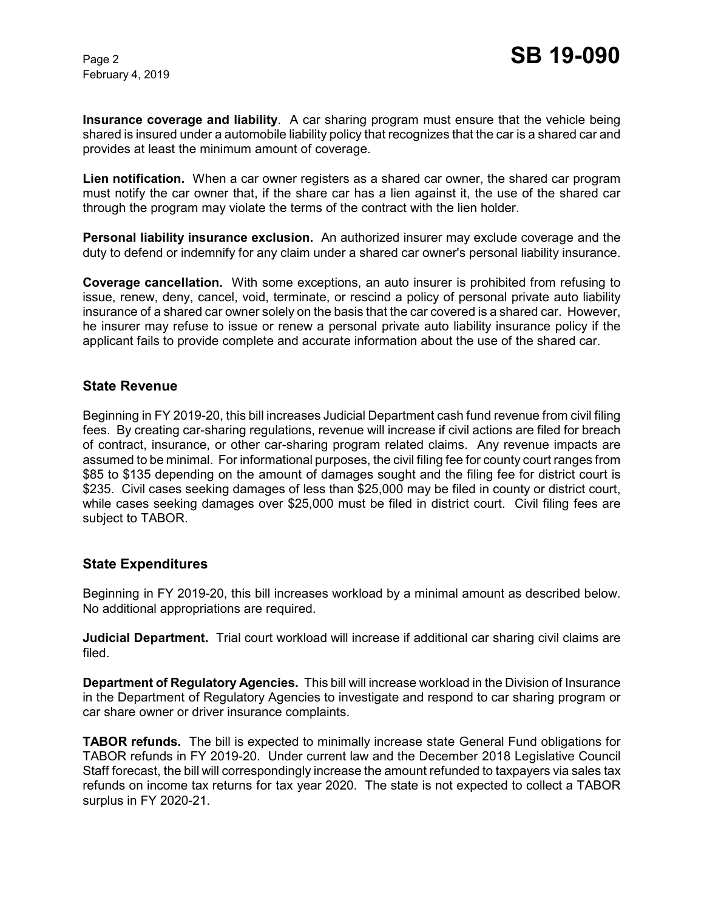**Insurance coverage and liability**. A car sharing program must ensure that the vehicle being shared is insured under a automobile liability policy that recognizes that the car is a shared car and provides at least the minimum amount of coverage.

**Lien notification.** When a car owner registers as a shared car owner, the shared car program must notify the car owner that, if the share car has a lien against it, the use of the shared car through the program may violate the terms of the contract with the lien holder.

**Personal liability insurance exclusion.** An authorized insurer may exclude coverage and the duty to defend or indemnify for any claim under a shared car owner's personal liability insurance.

**Coverage cancellation.** With some exceptions, an auto insurer is prohibited from refusing to issue, renew, deny, cancel, void, terminate, or rescind a policy of personal private auto liability insurance of a shared car owner solely on the basis that the car covered is a shared car. However, he insurer may refuse to issue or renew a personal private auto liability insurance policy if the applicant fails to provide complete and accurate information about the use of the shared car.

## **State Revenue**

Beginning in FY 2019-20, this bill increases Judicial Department cash fund revenue from civil filing fees. By creating car-sharing regulations, revenue will increase if civil actions are filed for breach of contract, insurance, or other car-sharing program related claims. Any revenue impacts are assumed to be minimal. For informational purposes, the civil filing fee for county court ranges from \$85 to \$135 depending on the amount of damages sought and the filing fee for district court is \$235. Civil cases seeking damages of less than \$25,000 may be filed in county or district court, while cases seeking damages over \$25,000 must be filed in district court. Civil filing fees are subject to TABOR.

## **State Expenditures**

Beginning in FY 2019-20, this bill increases workload by a minimal amount as described below. No additional appropriations are required.

**Judicial Department.** Trial court workload will increase if additional car sharing civil claims are filed.

**Department of Regulatory Agencies.** This bill will increase workload in the Division of Insurance in the Department of Regulatory Agencies to investigate and respond to car sharing program or car share owner or driver insurance complaints.

**TABOR refunds.** The bill is expected to minimally increase state General Fund obligations for TABOR refunds in FY 2019-20. Under current law and the December 2018 Legislative Council Staff forecast, the bill will correspondingly increase the amount refunded to taxpayers via sales tax refunds on income tax returns for tax year 2020. The state is not expected to collect a TABOR surplus in FY 2020-21.